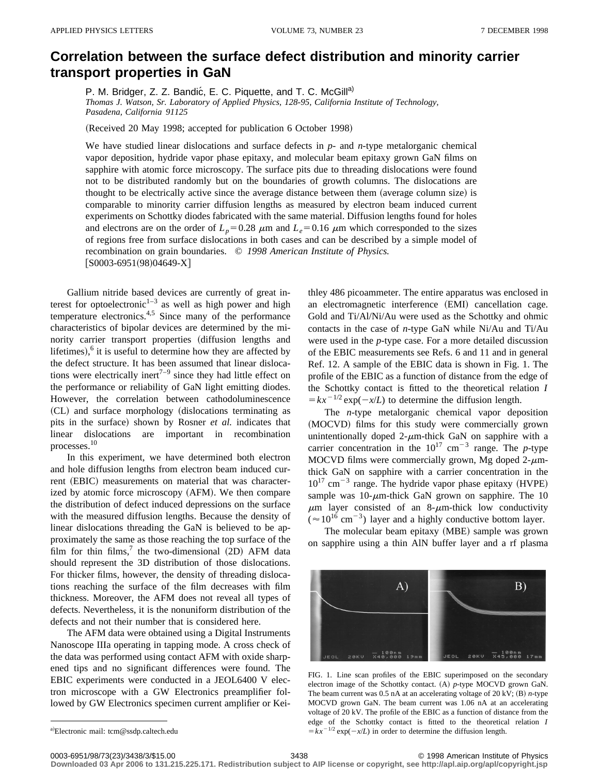## **Correlation between the surface defect distribution and minority carrier transport properties in GaN**

P. M. Bridger, Z. Z. Bandić, E. C. Piquette, and T. C. McGill<sup>a)</sup>

*Thomas J. Watson, Sr. Laboratory of Applied Physics, 128-95, California Institute of Technology, Pasadena, California 91125*

(Received 20 May 1998; accepted for publication 6 October 1998)

We have studied linear dislocations and surface defects in *p*- and *n*-type metalorganic chemical vapor deposition, hydride vapor phase epitaxy, and molecular beam epitaxy grown GaN films on sapphire with atomic force microscopy. The surface pits due to threading dislocations were found not to be distributed randomly but on the boundaries of growth columns. The dislocations are thought to be electrically active since the average distance between them (average column size) is comparable to minority carrier diffusion lengths as measured by electron beam induced current experiments on Schottky diodes fabricated with the same material. Diffusion lengths found for holes and electrons are on the order of  $L_p$ =0.28  $\mu$ m and  $L_e$ =0.16  $\mu$ m which corresponded to the sizes of regions free from surface dislocations in both cases and can be described by a simple model of recombination on grain boundaries. © *1998 American Institute of Physics.*  $[$ S0003-6951(98)04649-X]

Gallium nitride based devices are currently of great interest for optoelectronic<sup>1–3</sup> as well as high power and high temperature electronics.<sup>4,5</sup> Since many of the performance characteristics of bipolar devices are determined by the minority carrier transport properties (diffusion lengths and lifetimes), $6$  it is useful to determine how they are affected by the defect structure. It has been assumed that linear dislocations were electrically inert<sup> $7-9$ </sup> since they had little effect on the performance or reliability of GaN light emitting diodes. However, the correlation between cathodoluminescence (CL) and surface morphology (dislocations terminating as pits in the surface) shown by Rosner *et al.* indicates that linear dislocations are important in recombination processes.10

In this experiment, we have determined both electron and hole diffusion lengths from electron beam induced current (EBIC) measurements on material that was characterized by atomic force microscopy (AFM). We then compare the distribution of defect induced depressions on the surface with the measured diffusion lengths. Because the density of linear dislocations threading the GaN is believed to be approximately the same as those reaching the top surface of the film for thin films,<sup>7</sup> the two-dimensional  $(2D)$  AFM data should represent the 3D distribution of those dislocations. For thicker films, however, the density of threading dislocations reaching the surface of the film decreases with film thickness. Moreover, the AFM does not reveal all types of defects. Nevertheless, it is the nonuniform distribution of the defects and not their number that is considered here.

The AFM data were obtained using a Digital Instruments Nanoscope IIIa operating in tapping mode. A cross check of the data was performed using contact AFM with oxide sharpened tips and no significant differences were found. The EBIC experiments were conducted in a JEOL6400 V electron microscope with a GW Electronics preamplifier followed by GW Electronics specimen current amplifier or Keithley 486 picoammeter. The entire apparatus was enclosed in an electromagnetic interference (EMI) cancellation cage. Gold and Ti/Al/Ni/Au were used as the Schottky and ohmic contacts in the case of *n*-type GaN while Ni/Au and Ti/Au were used in the *p*-type case. For a more detailed discussion of the EBIC measurements see Refs. 6 and 11 and in general Ref. 12. A sample of the EBIC data is shown in Fig. 1. The profile of the EBIC as a function of distance from the edge of the Schottky contact is fitted to the theoretical relation *I*  $= kx^{-1/2}$  exp( $-x/L$ ) to determine the diffusion length.

The *n*-type metalorganic chemical vapor deposition (MOCVD) films for this study were commercially grown unintentionally doped  $2$ - $\mu$ m-thick GaN on sapphire with a carrier concentration in the  $10^{17}$  cm<sup>-3</sup> range. The *p*-type MOCVD films were commercially grown, Mg doped  $2-\mu$ mthick GaN on sapphire with a carrier concentration in the  $10^{17}$  cm<sup>-3</sup> range. The hydride vapor phase epitaxy (HVPE) sample was  $10$ - $\mu$ m-thick GaN grown on sapphire. The 10  $\mu$ m layer consisted of an 8- $\mu$ m-thick low conductivity  $($   $\approx$  10<sup>16</sup> cm<sup>-3</sup>) layer and a highly conductive bottom layer.

The molecular beam epitaxy (MBE) sample was grown on sapphire using a thin AlN buffer layer and a rf plasma



FIG. 1. Line scan profiles of the EBIC superimposed on the secondary electron image of the Schottky contact. (A) *p*-type MOCVD grown GaN. The beam current was  $0.5$  nA at an accelerating voltage of  $20$  kV;  $(B)$  *n*-type MOCVD grown GaN. The beam current was 1.06 nA at an accelerating voltage of 20 kV. The profile of the EBIC as a function of distance from the edge of the Schottky contact is fitted to the theoretical relation *I*  $=kx^{-1/2}$  exp( $-x/L$ ) in order to determine the diffusion length.

**Downloaded 03 Apr 2006 to 131.215.225.171. Redistribution subject to AIP license or copyright, see http://apl.aip.org/apl/copyright.jsp**

a)Electronic mail: tcm@ssdp.caltech.edu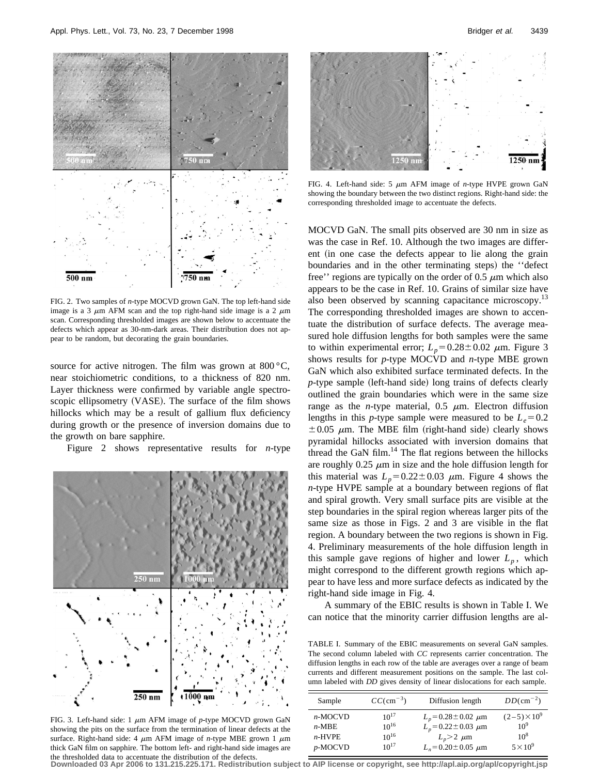

FIG. 2. Two samples of *n*-type MOCVD grown GaN. The top left-hand side image is a 3  $\mu$ m AFM scan and the top right-hand side image is a 2  $\mu$ m scan. Corresponding thresholded images are shown below to accentuate the defects which appear as 30-nm-dark areas. Their distribution does not appear to be random, but decorating the grain boundaries.

source for active nitrogen. The film was grown at  $800^{\circ}$ C, near stoichiometric conditions, to a thickness of 820 nm. Layer thickness were confirmed by variable angle spectroscopic ellipsometry (VASE). The surface of the film shows hillocks which may be a result of gallium flux deficiency during growth or the presence of inversion domains due to the growth on bare sapphire.

Figure 2 shows representative results for *n*-type



FIG. 3. Left-hand side: 1  $\mu$ m AFM image of *p*-type MOCVD grown GaN showing the pits on the surface from the termination of linear defects at the surface. Right-hand side: 4  $\mu$ m AFM image of *n*-type MBE grown 1  $\mu$ m thick GaN film on sapphire. The bottom left- and right-hand side images are the thresholded data to accentuate the distribution of the defects.



FIG. 4. Left-hand side: 5  $\mu$ m AFM image of *n*-type HVPE grown GaN showing the boundary between the two distinct regions. Right-hand side: the corresponding thresholded image to accentuate the defects.

MOCVD GaN. The small pits observed are 30 nm in size as was the case in Ref. 10. Although the two images are different (in one case the defects appear to lie along the grain boundaries and in the other terminating steps) the "defect" free'' regions are typically on the order of 0.5  $\mu$ m which also appears to be the case in Ref. 10. Grains of similar size have also been observed by scanning capacitance microscopy.<sup>13</sup> The corresponding thresholded images are shown to accentuate the distribution of surface defects. The average measured hole diffusion lengths for both samples were the same to within experimental error;  $L_p=0.28\pm0.02$   $\mu$ m. Figure 3 shows results for *p*-type MOCVD and *n*-type MBE grown GaN which also exhibited surface terminated defects. In the *p*-type sample (left-hand side) long trains of defects clearly outlined the grain boundaries which were in the same size range as the *n*-type material,  $0.5 \mu m$ . Electron diffusion lengths in this *p*-type sample were measured to be  $L_e = 0.2$  $\pm 0.05$   $\mu$ m. The MBE film (right-hand side) clearly shows pyramidal hillocks associated with inversion domains that thread the GaN film. $^{14}$  The flat regions between the hillocks are roughly  $0.25 \mu m$  in size and the hole diffusion length for this material was  $L_p = 0.22 \pm 0.03$   $\mu$ m. Figure 4 shows the *n*-type HVPE sample at a boundary between regions of flat and spiral growth. Very small surface pits are visible at the step boundaries in the spiral region whereas larger pits of the same size as those in Figs. 2 and 3 are visible in the flat region. A boundary between the two regions is shown in Fig. 4. Preliminary measurements of the hole diffusion length in this sample gave regions of higher and lower  $L_p$ , which might correspond to the different growth regions which appear to have less and more surface defects as indicated by the right-hand side image in Fig. 4.

A summary of the EBIC results is shown in Table I. We can notice that the minority carrier diffusion lengths are al-

TABLE I. Summary of the EBIC measurements on several GaN samples. The second column labeled with *CC* represents carrier concentration. The diffusion lengths in each row of the table are averages over a range of beam currents and different measurement positions on the sample. The last column labeled with *DD* gives density of linear dislocations for each sample.

| Sample     | $CC$ (cm <sup>-3</sup> ) | Diffusion length            | $DD/cm^{-2}$ )        |
|------------|--------------------------|-----------------------------|-----------------------|
| $n-MOCVD$  | $10^{17}$                | $L_p = 0.28 \pm 0.02 \mu m$ | $(2-5) \times 10^{9}$ |
| $n-MBE$    | $10^{16}$                | $L_p = 0.22 \pm 0.03 \mu m$ | $10^{9}$              |
| $n$ -HVPE  | $10^{16}$                | $L_p > 2$ $\mu$ m           | $10^{8}$              |
| $p$ -MOCVD | $10^{17}$                | $L_v = 0.20 \pm 0.05 \mu m$ | $5 \times 10^9$       |

**Downloaded 03 Apr 2006 to 131.215.225.171. Redistribution subject to AIP license or copyright, see http://apl.aip.org/apl/copyright.jsp**